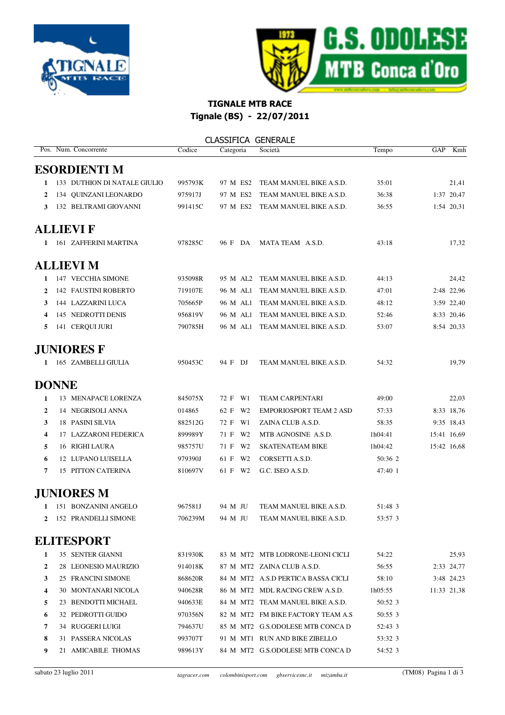



## TIGNALE MTB RACE Tignale (BS) - 22/07/2011

|              | Pos. Num. Concorrente        | Codice  | Categoria | Società                            | Tempo   | GAP         | Kmh         |
|--------------|------------------------------|---------|-----------|------------------------------------|---------|-------------|-------------|
|              | <b>ESORDIENTI M</b>          |         |           |                                    |         |             |             |
| 1            | 133 DUTHION DI NATALE GIULIO | 995793K | 97 M ES2  | TEAM MANUEL BIKE A.S.D.            | 35:01   |             | 21,41       |
| 2            | 134 QUINZANI LEONARDO        | 975917J | 97 M ES2  | TEAM MANUEL BIKE A.S.D.            | 36:38   |             | 1:37 20,47  |
| 3            | 132 BELTRAMI GIOVANNI        | 991415C | 97 M ES2  | TEAM MANUEL BIKE A.S.D.            | 36:55   |             | 1:54 20,31  |
|              | <b>ALLIEVI F</b>             |         |           |                                    |         |             |             |
| 1            | 161 ZAFFERINI MARTINA        | 978285C | 96 F DA   | MATA TEAM A.S.D.                   | 43:18   |             | 17,32       |
|              | <b>ALLIEVI M</b>             |         |           |                                    |         |             |             |
| 1            | 147 VECCHIA SIMONE           | 935098R | 95 M AL2  | TEAM MANUEL BIKE A.S.D.            | 44:13   |             | 24,42       |
| 2            | 142 FAUSTINI ROBERTO         | 719107E | 96 M AL1  | TEAM MANUEL BIKE A.S.D.            | 47:01   |             | 2:48 22,96  |
| 3            | 144 LAZZARINI LUCA           | 705665P | 96 M AL1  | TEAM MANUEL BIKE A.S.D.            | 48:12   |             | 3:59 22,40  |
| 4            | 145 NEDROTTI DENIS           | 956819V | 96 M AL1  | TEAM MANUEL BIKE A.S.D.            | 52:46   |             | 8:33 20,46  |
| 5            | 141 CERQUI JURI              | 790785H | 96 M AL1  | TEAM MANUEL BIKE A.S.D.            | 53:07   |             | 8:54 20,33  |
|              | <b>JUNIORES F</b>            |         |           |                                    |         |             |             |
| 1            | 165 ZAMBELLI GIULIA          | 950453C | 94 F DJ   | TEAM MANUEL BIKE A.S.D.            | 54:32   |             | 19,79       |
| <b>DONNE</b> |                              |         |           |                                    |         |             |             |
| 1            | 13 MENAPACE LORENZA          | 845075X | 72 F W1   | <b>TEAM CARPENTARI</b>             | 49:00   |             | 22,03       |
| 2            | 14 NEGRISOLI ANNA            | 014865  | 62 F W2   | <b>EMPORIOSPORT TEAM 2 ASD</b>     | 57:33   |             | 8:33 18,76  |
| 3            | <b>18 PASINI SILVIA</b>      | 882512G | 72 F W1   | ZAINA CLUB A.S.D.                  | 58:35   |             | 9:35 18,43  |
| 4            | 17 LAZZARONI FEDERICA        | 899989Y | 71 F W2   | MTB AGNOSINE A.S.D.                | 1h04:41 | 15:41 16,69 |             |
| 5            | 16 RIGHI LAURA               | 985757U | 71 F W2   | <b>SKATENATEAM BIKE</b>            | 1h04:42 | 15:42 16,68 |             |
| 6            | 12 LUPANO LUISELLA           | 979390J | 61 F W2   | CORSETTI A.S.D.                    | 50:36 2 |             |             |
| 7            | 15 PITTON CATERINA           | 810697V | 61 F W2   | G.C. ISEO A.S.D.                   | 47:40 1 |             |             |
|              | <b>JUNIORES M</b>            |         |           |                                    |         |             |             |
|              | 151 BONZANINI ANGELO         | 967581J | 94 M JU   | TEAM MANUEL BIKE A.S.D.            | 51:48 3 |             |             |
| 2            | 152 PRANDELLI SIMONE         | 706239M | 94 M JU   | TEAM MANUEL BIKE A.S.D.            | 53:57 3 |             |             |
|              | <b>ELITESPORT</b>            |         |           |                                    |         |             |             |
| 1            | 35 SENTER GIANNI             | 831930K |           | 83 M MT2 MTB LODRONE-LEONI CICLI   | 54:22   |             | 25,93       |
| 2            | 28 LEONESIO MAURIZIO         | 914018K |           | 87 M MT2 ZAINA CLUB A.S.D.         | 56:55   |             | 2:33 24,77  |
| 3            | 25 FRANCINI SIMONE           | 868620R |           | 84 M MT2 A.S.D PERTICA BASSA CICLI | 58:10   |             | 3:48 24,23  |
| 4            | 30 MONTANARI NICOLA          | 940628R |           | 86 M MT2 MDL RACING CREW A.S.D.    | 1h05:55 |             | 11:33 21.38 |
| 5            | 23 BENDOTTI MICHAEL          | 940633E |           | 84 M MT2 TEAM MANUEL BIKE A.S.D.   | 50:52 3 |             |             |
| 6            | 32 PEDROTTI GUIDO            | 970356N |           | 82 M MT2 FM BIKE FACTORY TEAM A.S  | 50:55 3 |             |             |
| 7            | 34 RUGGERI LUIGI             | 794637U |           | 85 M MT2 G.S.ODOLESE MTB CONCA D   | 52:43 3 |             |             |
| 8            | 31 PASSERA NICOLAS           | 993707T |           | 91 M MT1 RUN AND BIKE ZIBELLO      | 53:32 3 |             |             |
| 9            | 21 AMICABILE THOMAS          | 989613Y |           | 84 M MT2 G.S.ODOLESE MTB CONCA D   | 54:52 3 |             |             |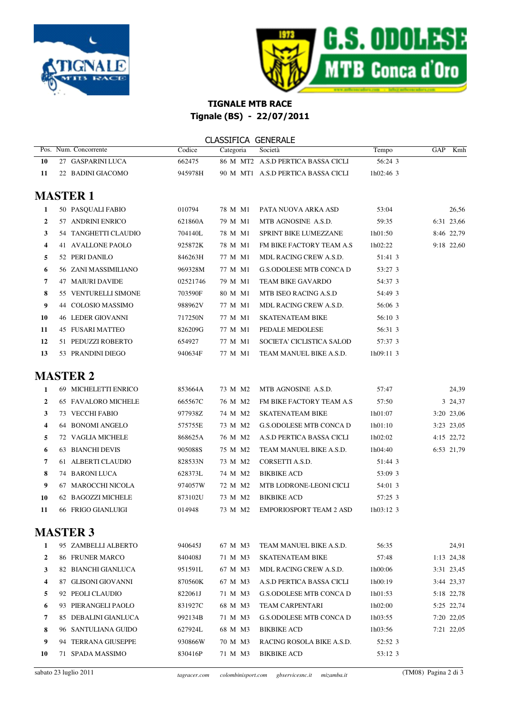



## TIGNALE MTB RACE Tignale (BS) - 22/07/2011

|                  |                          |          | <b>CLASSIFICA GENERALE</b> |                                    |             |            |       |
|------------------|--------------------------|----------|----------------------------|------------------------------------|-------------|------------|-------|
|                  | Pos. Num. Concorrente    | Codice   | Categoria                  | Società                            | Tempo       | GAP        | Kmh   |
| 10               | 27 GASPARINI LUCA        | 662475   |                            | 86 M MT2 A.S.D PERTICA BASSA CICLI | 56:24 3     |            |       |
| 11               | 22 BADINI GIACOMO        | 945978H  |                            | 90 M MT1 A.S.D PERTICA BASSA CICLI | 1h02:46 3   |            |       |
|                  | <b>MASTER 1</b>          |          |                            |                                    |             |            |       |
| 1                | 50 PASQUALI FABIO        | 010794   | 78 M M1                    | PATA NUOVA ARKA ASD                | 53:04       |            | 26,56 |
| $\boldsymbol{2}$ | 57 ANDRINI ENRICO        | 621860A  | 79 M M1                    | MTB AGNOSINE A.S.D.                | 59:35       | 6:31 23,66 |       |
| 3                | 54 TANGHETTI CLAUDIO     | 704140L  | 78 M M1                    | <b>SPRINT BIKE LUMEZZANE</b>       | 1h01:50     | 8:46 22,79 |       |
| 4                | 41 AVALLONE PAOLO        | 925872K  | 78 M M1                    | FM BIKE FACTORY TEAM A.S           | 1h02:22     | 9:18 22,60 |       |
| 5                | 52 PERI DANILO           | 846263H  | 77 M M1                    | MDL RACING CREW A.S.D.             | 51:41 3     |            |       |
| 6                | 56 ZANI MASSIMILIANO     | 969328M  | 77 M M1                    | <b>G.S.ODOLESE MTB CONCA D</b>     | 53:27 3     |            |       |
| 7                | <b>47 MAIURI DAVIDE</b>  | 02521746 | 79 M M1                    | TEAM BIKE GAVARDO                  | 54:37 3     |            |       |
| 8                | 55 VENTURELLI SIMONE     | 703590F  | 80 M M1                    | MTB ISEO RACING A.S.D              | 54:49 3     |            |       |
| 9                | 44 COLOSIO MASSIMO       | 988962V  | 77 M M1                    | MDL RACING CREW A.S.D.             | 56:06 3     |            |       |
| 10               | <b>46 LEDER GIOVANNI</b> | 717250N  | 77 M M1                    | <b>SKATENATEAM BIKE</b>            | 56:10 3     |            |       |
| 11               | <b>45 FUSARI MATTEO</b>  | 826209G  | 77 M M1                    | PEDALE MEDOLESE                    | 56:31 3     |            |       |
| 12               | 51 PEDUZZI ROBERTO       | 654927   | 77 M M1                    | SOCIETA' CICLISTICA SALOD          | 57:37 3     |            |       |
| 13               | 53 PRANDINI DIEGO        | 940634F  | 77 M M1                    | TEAM MANUEL BIKE A.S.D.            | 1h09:11 3   |            |       |
|                  | <b>MASTER 2</b>          |          |                            |                                    |             |            |       |
| $\mathbf{1}$     | 69 MICHELETTI ENRICO     | 853664A  | 73 M M2                    | MTB AGNOSINE A.S.D.                | 57:47       |            | 24,39 |
| $\boldsymbol{2}$ | 65 FAVALORO MICHELE      | 665567C  | 76 M M2                    | FM BIKE FACTORY TEAM A.S           | 57:50       | 3 24,37    |       |
| 3                | 73 VECCHI FABIO          | 977938Z  | 74 M M2                    | <b>SKATENATEAM BIKE</b>            | 1h01:07     | 3:20 23,06 |       |
| 4                | 64 BONOMI ANGELO         | 575755E  | 73 M M2                    | <b>G.S.ODOLESE MTB CONCA D</b>     | 1h01:10     | 3:23 23,05 |       |
| 5                | 72 VAGLIA MICHELE        | 868625A  | 76 M M2                    | A.S.D PERTICA BASSA CICLI          | 1h02:02     | 4:15 22,72 |       |
| 6                | <b>63 BIANCHI DEVIS</b>  | 905088S  | 75 M M2                    | TEAM MANUEL BIKE A.S.D.            | 1h04:40     | 6:53 21,79 |       |
| 7                | 61 ALBERTI CLAUDIO       | 828533N  | 73 M M2                    | CORSETTI A.S.D.                    | 51:44 3     |            |       |
| 8                | 74 BARONI LUCA           | 628373L  | 74 M M2                    | <b>BIKBIKE ACD</b>                 | 53:09 3     |            |       |
| 9                | 67 MAROCCHI NICOLA       | 974057W  | 72 M M2                    | MTB LODRONE-LEONI CICLI            | 54:01 3     |            |       |
| 10               | 62 BAGOZZI MICHELE       | 873102U  | 73 M M2                    | <b>BIKBIKE ACD</b>                 | 57:25 3     |            |       |
| 11               | 66 FRIGO GIANLUIGI       | 014948   | 73 M M2                    | <b>EMPORIOSPORT TEAM 2 ASD</b>     | $1h03:12$ 3 |            |       |
|                  | <b>MASTER 3</b>          |          |                            |                                    |             |            |       |
| 1                | 95 ZAMBELLI ALBERTO      | 940645J  | 67 M M3                    | TEAM MANUEL BIKE A.S.D.            | 56:35       |            | 24,91 |
| $\boldsymbol{2}$ | 86 FRUNER MARCO          | 840408J  | 71 M M3                    | <b>SKATENATEAM BIKE</b>            | 57:48       | 1:13 24,38 |       |
| 3                | 82 BIANCHI GIANLUCA      | 951591L  | 67 M M3                    | <b>MDL RACING CREW A.S.D.</b>      | 1h00:06     | 3:31 23,45 |       |
| 4                | 87 GLISONI GIOVANNI      | 870560K  | 67 M M3                    | A.S.D PERTICA BASSA CICLI          | 1h00:19     | 3:44 23,37 |       |
| 5                | 92 PEOLI CLAUDIO         | 822061J  | 71 M M3                    | <b>G.S.ODOLESE MTB CONCA D</b>     | 1h01:53     | 5:18 22,78 |       |
| 6                | 93 PIERANGELI PAOLO      | 831927C  | 68 M M3                    | TEAM CARPENTARI                    | 1h02:00     | 5:25 22,74 |       |
| 7                | 85 DEBALINI GIANLUCA     | 992134B  | 71 M M3                    | G.S.ODOLESE MTB CONCA D            | 1h03:55     | 7:20 22,05 |       |
| 8                | 96 SANTULIANA GUIDO      | 627924L  | 68 M M3                    | <b>BIKBIKE ACD</b>                 | 1h03:56     | 7:21 22,05 |       |
| 9                | 94 TERRANA GIUSEPPE      | 930866W  | 70 M M3                    | RACING ROSOLA BIKE A.S.D.          | 52:52 3     |            |       |
| 10               | 71 SPADA MASSIMO         | 830416P  | 71 M M3                    | <b>BIKBIKE ACD</b>                 | 53:12 3     |            |       |
|                  |                          |          |                            |                                    |             |            |       |